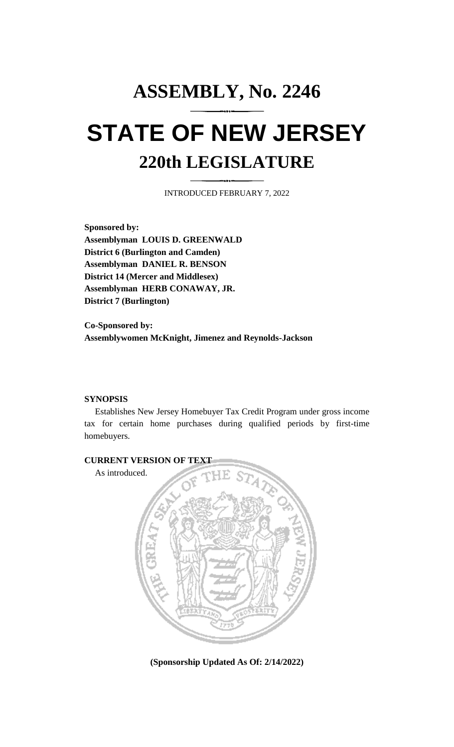# **ASSEMBLY, No. 2246 STATE OF NEW JERSEY 220th LEGISLATURE**

INTRODUCED FEBRUARY 7, 2022

**Sponsored by: Assemblyman LOUIS D. GREENWALD District 6 (Burlington and Camden) Assemblyman DANIEL R. BENSON District 14 (Mercer and Middlesex) Assemblyman HERB CONAWAY, JR. District 7 (Burlington)**

**Co-Sponsored by: Assemblywomen McKnight, Jimenez and Reynolds-Jackson**

## **SYNOPSIS**

Establishes New Jersey Homebuyer Tax Credit Program under gross income tax for certain home purchases during qualified periods by first-time homebuyers.



**(Sponsorship Updated As Of: 2/14/2022)**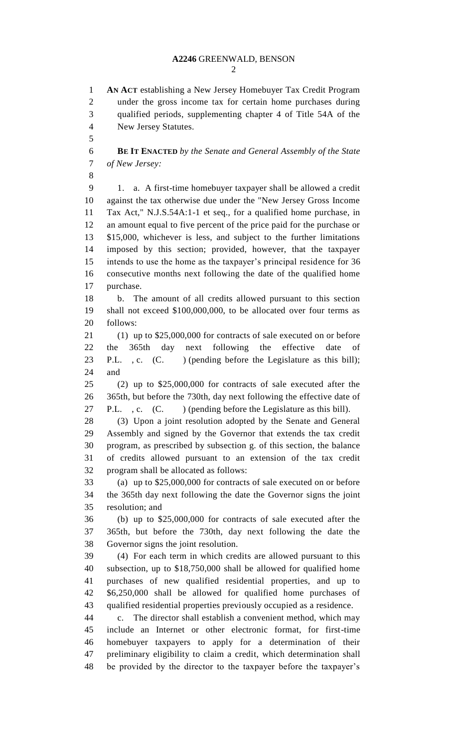**AN ACT** establishing a New Jersey Homebuyer Tax Credit Program under the gross income tax for certain home purchases during qualified periods, supplementing chapter 4 of Title 54A of the New Jersey Statutes.

 **BE IT ENACTED** *by the Senate and General Assembly of the State of New Jersey:*

 1. a. A first-time homebuyer taxpayer shall be allowed a credit against the tax otherwise due under the "New Jersey Gross Income Tax Act," N.J.S.54A:1-1 et seq., for a qualified home purchase, in an amount equal to five percent of the price paid for the purchase or \$15,000, whichever is less, and subject to the further limitations imposed by this section; provided, however, that the taxpayer intends to use the home as the taxpayer's principal residence for 36 consecutive months next following the date of the qualified home purchase.

 b. The amount of all credits allowed pursuant to this section shall not exceed \$100,000,000, to be allocated over four terms as follows:

 (1) up to \$25,000,000 for contracts of sale executed on or before the 365th day next following the effective date of 23 P.L., c. (C.) (pending before the Legislature as this bill); and

 (2) up to \$25,000,000 for contracts of sale executed after the 365th, but before the 730th, day next following the effective date of 27 P.L., c. (C. ) (pending before the Legislature as this bill).

 (3) Upon a joint resolution adopted by the Senate and General Assembly and signed by the Governor that extends the tax credit program, as prescribed by subsection g. of this section, the balance of credits allowed pursuant to an extension of the tax credit program shall be allocated as follows:

 (a) up to \$25,000,000 for contracts of sale executed on or before the 365th day next following the date the Governor signs the joint resolution; and

 (b) up to \$25,000,000 for contracts of sale executed after the 365th, but before the 730th, day next following the date the Governor signs the joint resolution.

 (4) For each term in which credits are allowed pursuant to this subsection, up to \$18,750,000 shall be allowed for qualified home purchases of new qualified residential properties, and up to \$6,250,000 shall be allowed for qualified home purchases of qualified residential properties previously occupied as a residence.

 c. The director shall establish a convenient method, which may include an Internet or other electronic format, for first-time homebuyer taxpayers to apply for a determination of their preliminary eligibility to claim a credit, which determination shall be provided by the director to the taxpayer before the taxpayer's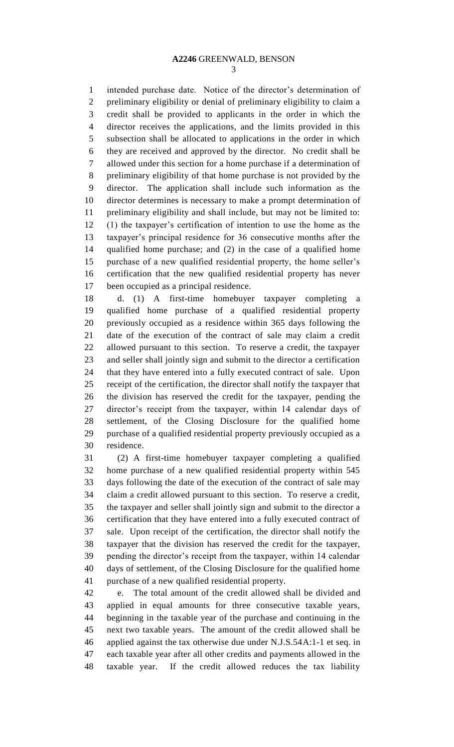#### **A2246** GREENWALD, BENSON

 intended purchase date. Notice of the director's determination of preliminary eligibility or denial of preliminary eligibility to claim a credit shall be provided to applicants in the order in which the director receives the applications, and the limits provided in this subsection shall be allocated to applications in the order in which they are received and approved by the director. No credit shall be allowed under this section for a home purchase if a determination of preliminary eligibility of that home purchase is not provided by the director. The application shall include such information as the director determines is necessary to make a prompt determination of preliminary eligibility and shall include, but may not be limited to: (1) the taxpayer's certification of intention to use the home as the taxpayer's principal residence for 36 consecutive months after the qualified home purchase; and (2) in the case of a qualified home purchase of a new qualified residential property, the home seller's certification that the new qualified residential property has never been occupied as a principal residence.

 d. (1) A first-time homebuyer taxpayer completing a qualified home purchase of a qualified residential property previously occupied as a residence within 365 days following the date of the execution of the contract of sale may claim a credit allowed pursuant to this section. To reserve a credit, the taxpayer and seller shall jointly sign and submit to the director a certification that they have entered into a fully executed contract of sale. Upon receipt of the certification, the director shall notify the taxpayer that the division has reserved the credit for the taxpayer, pending the director's receipt from the taxpayer, within 14 calendar days of settlement, of the Closing Disclosure for the qualified home purchase of a qualified residential property previously occupied as a residence.

 (2) A first-time homebuyer taxpayer completing a qualified home purchase of a new qualified residential property within 545 days following the date of the execution of the contract of sale may claim a credit allowed pursuant to this section. To reserve a credit, the taxpayer and seller shall jointly sign and submit to the director a certification that they have entered into a fully executed contract of sale. Upon receipt of the certification, the director shall notify the taxpayer that the division has reserved the credit for the taxpayer, pending the director's receipt from the taxpayer, within 14 calendar days of settlement, of the Closing Disclosure for the qualified home purchase of a new qualified residential property.

 e. The total amount of the credit allowed shall be divided and applied in equal amounts for three consecutive taxable years, beginning in the taxable year of the purchase and continuing in the next two taxable years. The amount of the credit allowed shall be applied against the tax otherwise due under N.J.S.54A:1-1 et seq. in each taxable year after all other credits and payments allowed in the taxable year. If the credit allowed reduces the tax liability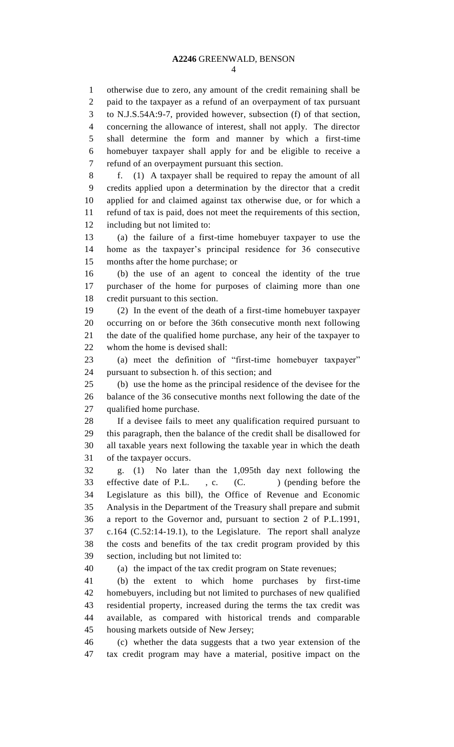otherwise due to zero, any amount of the credit remaining shall be paid to the taxpayer as a refund of an overpayment of tax pursuant to N.J.S.54A:9-7, provided however, subsection (f) of that section, concerning the allowance of interest, shall not apply. The director shall determine the form and manner by which a first-time homebuyer taxpayer shall apply for and be eligible to receive a refund of an overpayment pursuant this section.

 f. (1) A taxpayer shall be required to repay the amount of all credits applied upon a determination by the director that a credit applied for and claimed against tax otherwise due, or for which a refund of tax is paid, does not meet the requirements of this section, including but not limited to:

 (a) the failure of a first-time homebuyer taxpayer to use the home as the taxpayer's principal residence for 36 consecutive months after the home purchase; or

 (b) the use of an agent to conceal the identity of the true purchaser of the home for purposes of claiming more than one credit pursuant to this section.

 (2) In the event of the death of a first-time homebuyer taxpayer occurring on or before the 36th consecutive month next following the date of the qualified home purchase, any heir of the taxpayer to whom the home is devised shall:

 (a) meet the definition of "first-time homebuyer taxpayer" pursuant to subsection h. of this section; and

 (b) use the home as the principal residence of the devisee for the balance of the 36 consecutive months next following the date of the qualified home purchase.

 If a devisee fails to meet any qualification required pursuant to this paragraph, then the balance of the credit shall be disallowed for all taxable years next following the taxable year in which the death of the taxpayer occurs.

 g. (1) No later than the 1,095th day next following the 33 effective date of P.L., c. (C. ) (pending before the Legislature as this bill), the Office of Revenue and Economic Analysis in the Department of the Treasury shall prepare and submit a report to the Governor and, pursuant to section 2 of P.L.1991, c.164 (C.52:14-19.1), to the Legislature. The report shall analyze the costs and benefits of the tax credit program provided by this section, including but not limited to:

(a) the impact of the tax credit program on State revenues;

 (b) the extent to which home purchases by first-time homebuyers, including but not limited to purchases of new qualified residential property, increased during the terms the tax credit was available, as compared with historical trends and comparable housing markets outside of New Jersey;

 (c) whether the data suggests that a two year extension of the tax credit program may have a material, positive impact on the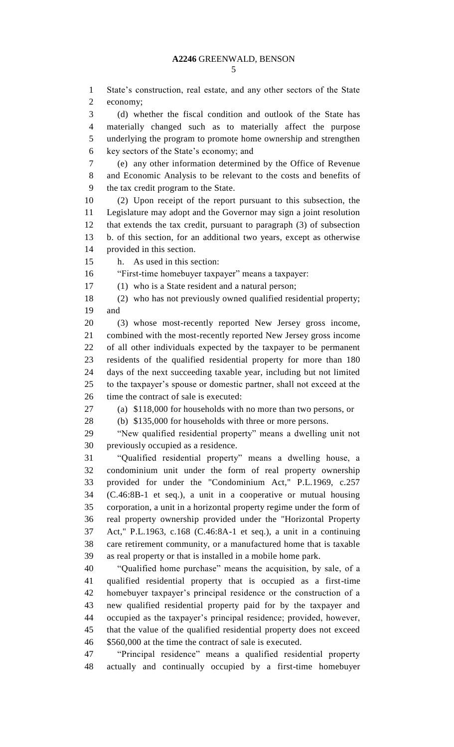State's construction, real estate, and any other sectors of the State economy;

 (d) whether the fiscal condition and outlook of the State has materially changed such as to materially affect the purpose underlying the program to promote home ownership and strengthen key sectors of the State's economy; and

 (e) any other information determined by the Office of Revenue and Economic Analysis to be relevant to the costs and benefits of the tax credit program to the State.

 (2) Upon receipt of the report pursuant to this subsection, the Legislature may adopt and the Governor may sign a joint resolution that extends the tax credit, pursuant to paragraph (3) of subsection b. of this section, for an additional two years, except as otherwise provided in this section.

h. As used in this section:

"First-time homebuyer taxpayer" means a taxpayer:

(1) who is a State resident and a natural person;

 (2) who has not previously owned qualified residential property; and

 (3) whose most-recently reported New Jersey gross income, combined with the most-recently reported New Jersey gross income of all other individuals expected by the taxpayer to be permanent residents of the qualified residential property for more than 180 days of the next succeeding taxable year, including but not limited to the taxpayer's spouse or domestic partner, shall not exceed at the 26 time the contract of sale is executed:

(a) \$118,000 for households with no more than two persons, or

(b) \$135,000 for households with three or more persons.

 "New qualified residential property" means a dwelling unit not previously occupied as a residence.

 "Qualified residential property" means a dwelling house, a condominium unit under the form of real property ownership provided for under the "Condominium Act," P.L.1969, c.257 (C.46:8B-1 et seq.), a unit in a cooperative or mutual housing corporation, a unit in a horizontal property regime under the form of real property ownership provided under the "Horizontal Property Act," P.L.1963, c.168 (C.46:8A-1 et seq.), a unit in a continuing care retirement community, or a manufactured home that is taxable as real property or that is installed in a mobile home park.

 "Qualified home purchase" means the acquisition, by sale, of a qualified residential property that is occupied as a first-time homebuyer taxpayer's principal residence or the construction of a new qualified residential property paid for by the taxpayer and occupied as the taxpayer's principal residence; provided, however, that the value of the qualified residential property does not exceed \$560,000 at the time the contract of sale is executed.

 "Principal residence" means a qualified residential property actually and continually occupied by a first-time homebuyer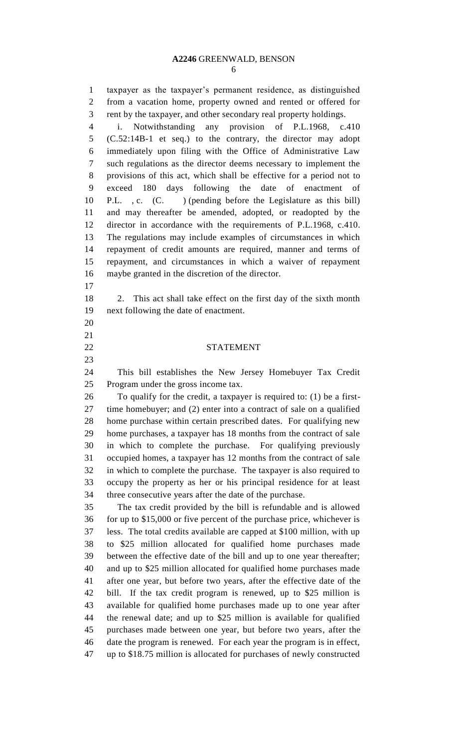#### **A2246** GREENWALD, BENSON

 taxpayer as the taxpayer's permanent residence, as distinguished from a vacation home, property owned and rented or offered for rent by the taxpayer, and other secondary real property holdings.

 i. Notwithstanding any provision of P.L.1968, c.410 (C.52:14B-1 et seq.) to the contrary, the director may adopt immediately upon filing with the Office of Administrative Law such regulations as the director deems necessary to implement the provisions of this act, which shall be effective for a period not to exceed 180 days following the date of enactment of P.L. , c. (C. ) (pending before the Legislature as this bill) and may thereafter be amended, adopted, or readopted by the director in accordance with the requirements of P.L.1968, c.410. The regulations may include examples of circumstances in which repayment of credit amounts are required, manner and terms of repayment, and circumstances in which a waiver of repayment maybe granted in the discretion of the director.

 

 2. This act shall take effect on the first day of the sixth month next following the date of enactment.

## STATEMENT

 This bill establishes the New Jersey Homebuyer Tax Credit Program under the gross income tax.

 To qualify for the credit, a taxpayer is required to: (1) be a first- time homebuyer; and (2) enter into a contract of sale on a qualified home purchase within certain prescribed dates. For qualifying new home purchases, a taxpayer has 18 months from the contract of sale in which to complete the purchase. For qualifying previously occupied homes, a taxpayer has 12 months from the contract of sale in which to complete the purchase. The taxpayer is also required to occupy the property as her or his principal residence for at least three consecutive years after the date of the purchase.

 The tax credit provided by the bill is refundable and is allowed for up to \$15,000 or five percent of the purchase price, whichever is less. The total credits available are capped at \$100 million, with up to \$25 million allocated for qualified home purchases made between the effective date of the bill and up to one year thereafter; and up to \$25 million allocated for qualified home purchases made after one year, but before two years, after the effective date of the bill. If the tax credit program is renewed, up to \$25 million is available for qualified home purchases made up to one year after the renewal date; and up to \$25 million is available for qualified purchases made between one year, but before two years, after the date the program is renewed. For each year the program is in effect, up to \$18.75 million is allocated for purchases of newly constructed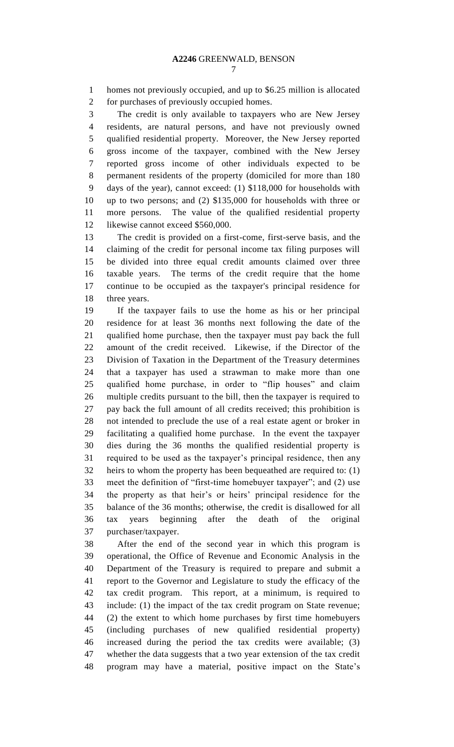homes not previously occupied, and up to \$6.25 million is allocated for purchases of previously occupied homes.

 The credit is only available to taxpayers who are New Jersey residents, are natural persons, and have not previously owned qualified residential property. Moreover, the New Jersey reported gross income of the taxpayer, combined with the New Jersey reported gross income of other individuals expected to be permanent residents of the property (domiciled for more than 180 days of the year), cannot exceed: (1) \$118,000 for households with up to two persons; and (2) \$135,000 for households with three or more persons. The value of the qualified residential property 12 likewise cannot exceed \$560,000.

 The credit is provided on a first-come, first-serve basis, and the claiming of the credit for personal income tax filing purposes will be divided into three equal credit amounts claimed over three taxable years. The terms of the credit require that the home continue to be occupied as the taxpayer's principal residence for three years.

 If the taxpayer fails to use the home as his or her principal residence for at least 36 months next following the date of the qualified home purchase, then the taxpayer must pay back the full amount of the credit received. Likewise, if the Director of the Division of Taxation in the Department of the Treasury determines that a taxpayer has used a strawman to make more than one qualified home purchase, in order to "flip houses" and claim multiple credits pursuant to the bill, then the taxpayer is required to pay back the full amount of all credits received; this prohibition is not intended to preclude the use of a real estate agent or broker in facilitating a qualified home purchase. In the event the taxpayer dies during the 36 months the qualified residential property is required to be used as the taxpayer's principal residence, then any heirs to whom the property has been bequeathed are required to: (1) meet the definition of "first-time homebuyer taxpayer"; and (2) use the property as that heir's or heirs' principal residence for the balance of the 36 months; otherwise, the credit is disallowed for all tax years beginning after the death of the original purchaser/taxpayer.

 After the end of the second year in which this program is operational, the Office of Revenue and Economic Analysis in the Department of the Treasury is required to prepare and submit a report to the Governor and Legislature to study the efficacy of the tax credit program. This report, at a minimum, is required to include: (1) the impact of the tax credit program on State revenue; (2) the extent to which home purchases by first time homebuyers (including purchases of new qualified residential property) increased during the period the tax credits were available; (3) whether the data suggests that a two year extension of the tax credit program may have a material, positive impact on the State's